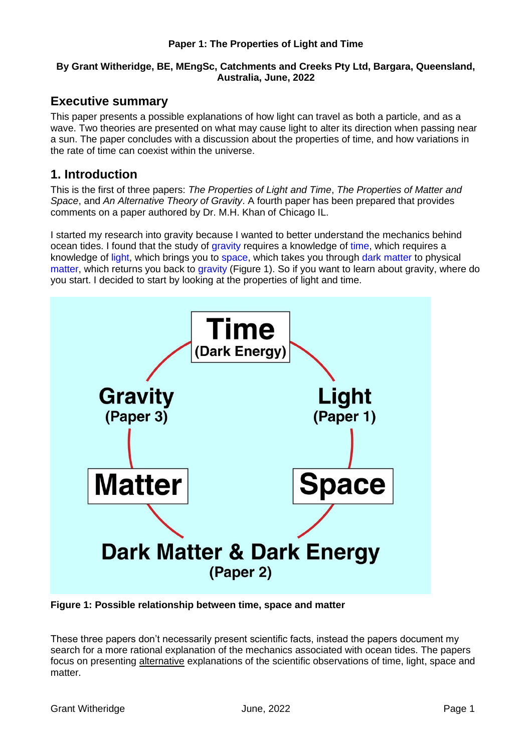#### **Paper 1: The Properties of Light and Time**

#### **By Grant Witheridge, BE, MEngSc, Catchments and Creeks Pty Ltd, Bargara, Queensland, Australia, June, 2022**

#### **Executive summary**

This paper presents a possible explanations of how light can travel as both a particle, and as a wave. Two theories are presented on what may cause light to alter its direction when passing near a sun. The paper concludes with a discussion about the properties of time, and how variations in the rate of time can coexist within the universe.

#### **1. Introduction**

This is the first of three papers: *The Properties of Light and Time*, *The Properties of Matter and Space*, and *An Alternative Theory of Gravity*. A fourth paper has been prepared that provides comments on a paper authored by Dr. M.H. Khan of Chicago IL.

I started my research into gravity because I wanted to better understand the mechanics behind ocean tides. I found that the study of gravity requires a knowledge of time, which requires a knowledge of light, which brings you to space, which takes you through dark matter to physical matter, which returns you back to gravity (Figure 1). So if you want to learn about gravity, where do you start. I decided to start by looking at the properties of light and time.



**Figure 1: Possible relationship between time, space and matter**

These three papers don't necessarily present scientific facts, instead the papers document my search for a more rational explanation of the mechanics associated with ocean tides. The papers focus on presenting alternative explanations of the scientific observations of time, light, space and matter.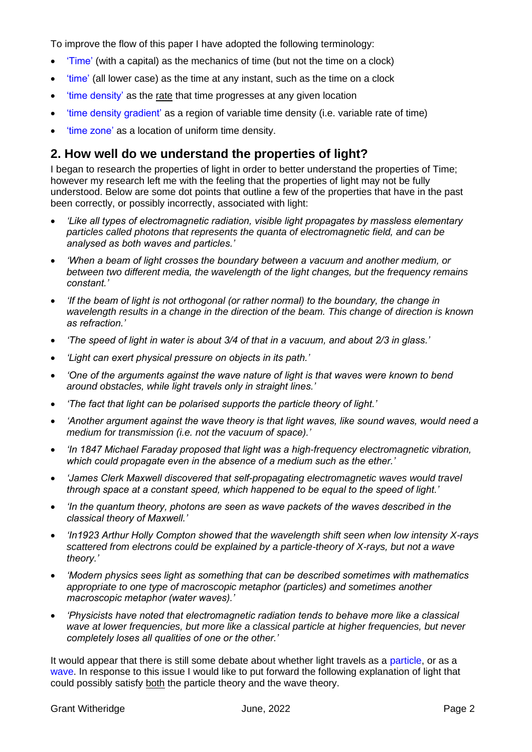To improve the flow of this paper I have adopted the following terminology:

- 'Time' (with a capital) as the mechanics of time (but not the time on a clock)
- 'time' (all lower case) as the time at any instant, such as the time on a clock
- 'time density' as the rate that time progresses at any given location
- time density gradient' as a region of variable time density (i.e. variable rate of time)
- 'time zone' as a location of uniform time density.

#### **2. How well do we understand the properties of light?**

I began to research the properties of light in order to better understand the properties of Time; however my research left me with the feeling that the properties of light may not be fully understood. Below are some dot points that outline a few of the properties that have in the past been correctly, or possibly incorrectly, associated with light:

- *'Like all types of electromagnetic radiation, visible light propagates by massless elementary particles called photons that represents the quanta of electromagnetic field, and can be analysed as both waves and particles.'*
- *'When a beam of light crosses the boundary between a vacuum and another medium, or between two different media, the wavelength of the light changes, but the frequency remains constant.'*
- *'If the beam of light is not orthogonal (or rather normal) to the boundary, the change in wavelength results in a change in the direction of the beam. This change of direction is known as refraction.'*
- *'The speed of light in water is about 3/4 of that in a vacuum, and about 2/3 in glass.'*
- *'Light can exert physical pressure on objects in its path.'*
- *'One of the arguments against the wave nature of light is that waves were known to bend around obstacles, while light travels only in straight lines.'*
- *'The fact that light can be polarised supports the particle theory of light.'*
- *'Another argument against the wave theory is that light waves, like sound waves, would need a medium for transmission (i.e. not the vacuum of space).'*
- *'In 1847 Michael Faraday proposed that light was a high-frequency electromagnetic vibration, which could propagate even in the absence of a medium such as the ether.'*
- *'James Clerk Maxwell discovered that self-propagating electromagnetic waves would travel through space at a constant speed, which happened to be equal to the speed of light.'*
- *'In the quantum theory, photons are seen as wave packets of the waves described in the classical theory of Maxwell.'*
- *'In1923 Arthur Holly Compton showed that the wavelength shift seen when low intensity X-rays scattered from electrons could be explained by a particle-theory of X-rays, but not a wave theory.'*
- *'Modern physics sees light as something that can be described sometimes with mathematics appropriate to one type of macroscopic metaphor (particles) and sometimes another macroscopic metaphor (water waves).'*
- *'Physicists have noted that electromagnetic radiation tends to behave more like a classical wave at lower frequencies, but more like a classical particle at higher frequencies, but never completely loses all qualities of one or the other.'*

It would appear that there is still some debate about whether light travels as a particle, or as a wave. In response to this issue I would like to put forward the following explanation of light that could possibly satisfy both the particle theory and the wave theory.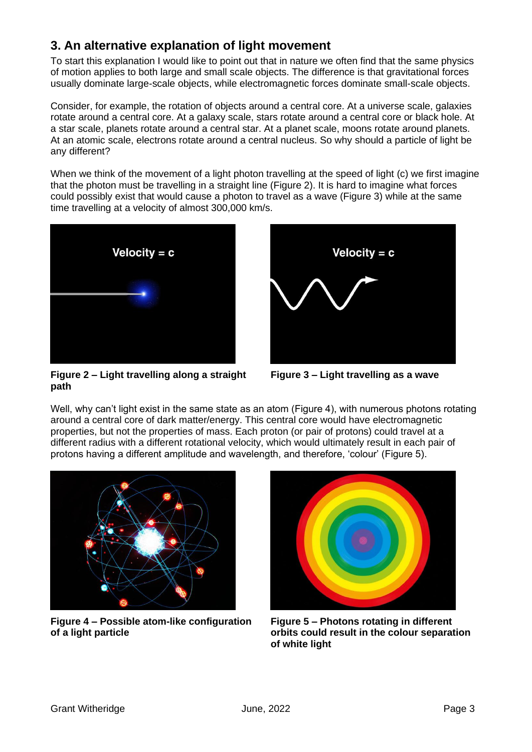## **3. An alternative explanation of light movement**

To start this explanation I would like to point out that in nature we often find that the same physics of motion applies to both large and small scale objects. The difference is that gravitational forces usually dominate large-scale objects, while electromagnetic forces dominate small-scale objects.

Consider, for example, the rotation of objects around a central core. At a universe scale, galaxies rotate around a central core. At a galaxy scale, stars rotate around a central core or black hole. At a star scale, planets rotate around a central star. At a planet scale, moons rotate around planets. At an atomic scale, electrons rotate around a central nucleus. So why should a particle of light be any different?

When we think of the movement of a light photon travelling at the speed of light (c) we first imagine that the photon must be travelling in a straight line (Figure 2). It is hard to imagine what forces could possibly exist that would cause a photon to travel as a wave (Figure 3) while at the same time travelling at a velocity of almost 300,000 km/s.





**Figure 2 – Light travelling along a straight path**

**Figure 3 – Light travelling as a wave**

Well, why can't light exist in the same state as an atom (Figure 4), with numerous photons rotating around a central core of dark matter/energy. This central core would have electromagnetic properties, but not the properties of mass. Each proton (or pair of protons) could travel at a different radius with a different rotational velocity, which would ultimately result in each pair of protons having a different amplitude and wavelength, and therefore, 'colour' (Figure 5).



**Figure 4 – Possible atom-like configuration of a light particle**



**Figure 5 – Photons rotating in different orbits could result in the colour separation of white light**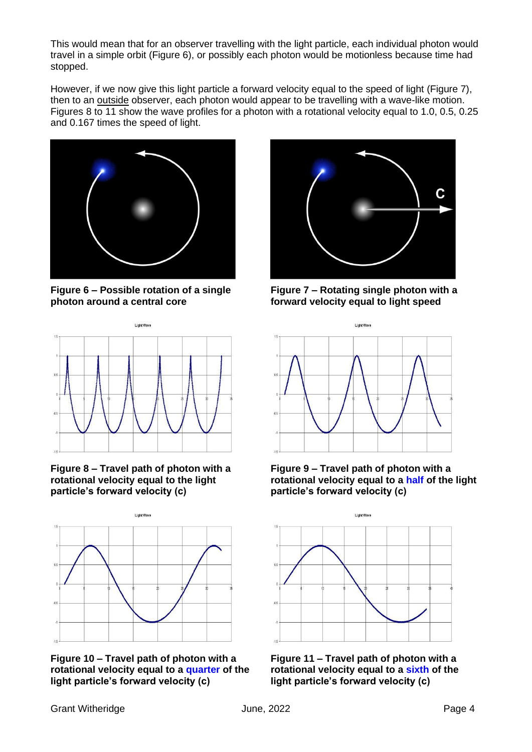This would mean that for an observer travelling with the light particle, each individual photon would travel in a simple orbit (Figure 6), or possibly each photon would be motionless because time had stopped.

However, if we now give this light particle a forward velocity equal to the speed of light (Figure 7), then to an outside observer, each photon would appear to be travelling with a wave-like motion. Figures 8 to 11 show the wave profiles for a photon with a rotational velocity equal to 1.0, 0.5, 0.25 and 0.167 times the speed of light.



**Figure 6 – Possible rotation of a single photon around a central core**



**Figure 8 – Travel path of photon with a rotational velocity equal to the light particle's forward velocity (c)**



**Figure 10 – Travel path of photon with a rotational velocity equal to a quarter of the light particle's forward velocity (c)**



**Figure 7 – Rotating single photon with a forward velocity equal to light speed**



**Figure 9 – Travel path of photon with a rotational velocity equal to a half of the light particle's forward velocity (c)**



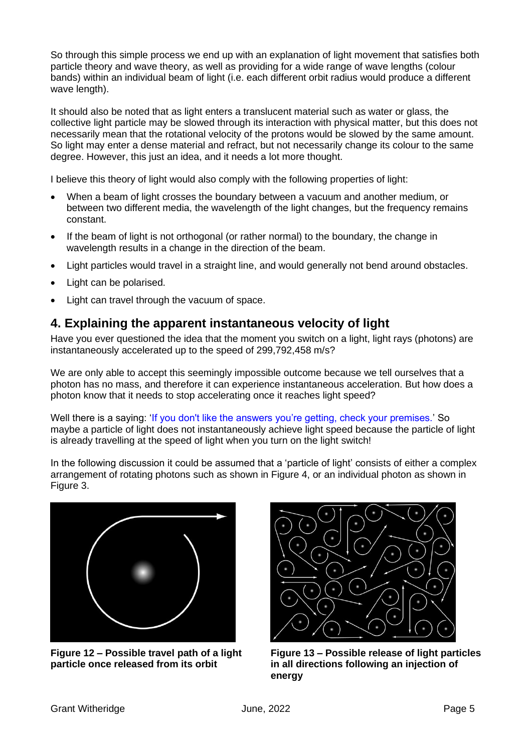So through this simple process we end up with an explanation of light movement that satisfies both particle theory and wave theory, as well as providing for a wide range of wave lengths (colour bands) within an individual beam of light (i.e. each different orbit radius would produce a different wave length).

It should also be noted that as light enters a translucent material such as water or glass, the collective light particle may be slowed through its interaction with physical matter, but this does not necessarily mean that the rotational velocity of the protons would be slowed by the same amount. So light may enter a dense material and refract, but not necessarily change its colour to the same degree. However, this just an idea, and it needs a lot more thought.

I believe this theory of light would also comply with the following properties of light:

- When a beam of light crosses the boundary between a vacuum and another medium, or between two different media, the wavelength of the light changes, but the frequency remains constant.
- If the beam of light is not orthogonal (or rather normal) to the boundary, the change in wavelength results in a change in the direction of the beam.
- Light particles would travel in a straight line, and would generally not bend around obstacles.
- Light can be polarised.
- Light can travel through the vacuum of space.

## **4. Explaining the apparent instantaneous velocity of light**

Have you ever questioned the idea that the moment you switch on a light, light rays (photons) are instantaneously accelerated up to the speed of 299,792,458 m/s?

We are only able to accept this seemingly impossible outcome because we tell ourselves that a photon has no mass, and therefore it can experience instantaneous acceleration. But how does a photon know that it needs to stop accelerating once it reaches light speed?

Well there is a saying: 'If you don't like the answers you're getting, check your premises.' So maybe a particle of light does not instantaneously achieve light speed because the particle of light is already travelling at the speed of light when you turn on the light switch!

In the following discussion it could be assumed that a 'particle of light' consists of either a complex arrangement of rotating photons such as shown in Figure 4, or an individual photon as shown in Figure 3.



**Figure 12 – Possible travel path of a light particle once released from its orbit**



**Figure 13 – Possible release of light particles in all directions following an injection of energy**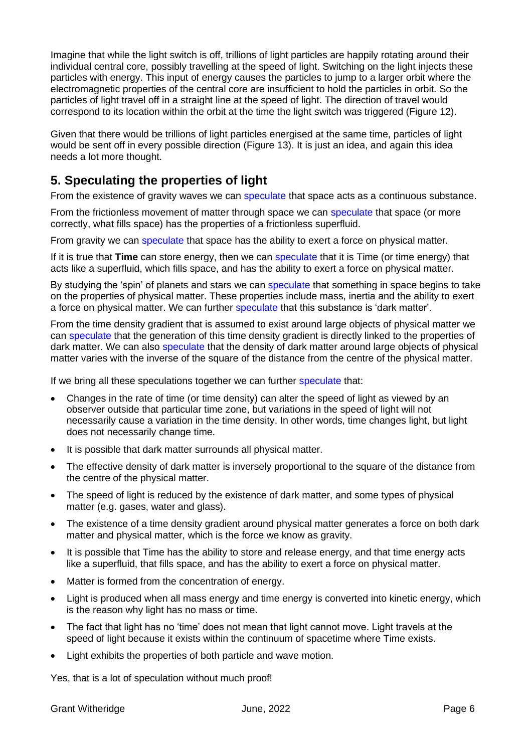Imagine that while the light switch is off, trillions of light particles are happily rotating around their individual central core, possibly travelling at the speed of light. Switching on the light injects these particles with energy. This input of energy causes the particles to jump to a larger orbit where the electromagnetic properties of the central core are insufficient to hold the particles in orbit. So the particles of light travel off in a straight line at the speed of light. The direction of travel would correspond to its location within the orbit at the time the light switch was triggered (Figure 12).

Given that there would be trillions of light particles energised at the same time, particles of light would be sent off in every possible direction (Figure 13). It is just an idea, and again this idea needs a lot more thought.

# **5. Speculating the properties of light**

From the existence of gravity waves we can speculate that space acts as a continuous substance.

From the frictionless movement of matter through space we can speculate that space (or more correctly, what fills space) has the properties of a frictionless superfluid.

From gravity we can speculate that space has the ability to exert a force on physical matter.

If it is true that **Time** can store energy, then we can speculate that it is Time (or time energy) that acts like a superfluid, which fills space, and has the ability to exert a force on physical matter.

By studying the 'spin' of planets and stars we can speculate that something in space begins to take on the properties of physical matter. These properties include mass, inertia and the ability to exert a force on physical matter. We can further speculate that this substance is 'dark matter'.

From the time density gradient that is assumed to exist around large objects of physical matter we can speculate that the generation of this time density gradient is directly linked to the properties of dark matter. We can also speculate that the density of dark matter around large objects of physical matter varies with the inverse of the square of the distance from the centre of the physical matter.

If we bring all these speculations together we can further speculate that:

- Changes in the rate of time (or time density) can alter the speed of light as viewed by an observer outside that particular time zone, but variations in the speed of light will not necessarily cause a variation in the time density. In other words, time changes light, but light does not necessarily change time.
- It is possible that dark matter surrounds all physical matter.
- The effective density of dark matter is inversely proportional to the square of the distance from the centre of the physical matter.
- The speed of light is reduced by the existence of dark matter, and some types of physical matter (e.g. gases, water and glass).
- The existence of a time density gradient around physical matter generates a force on both dark matter and physical matter, which is the force we know as gravity.
- It is possible that Time has the ability to store and release energy, and that time energy acts like a superfluid, that fills space, and has the ability to exert a force on physical matter.
- Matter is formed from the concentration of energy.
- Light is produced when all mass energy and time energy is converted into kinetic energy, which is the reason why light has no mass or time.
- The fact that light has no 'time' does not mean that light cannot move. Light travels at the speed of light because it exists within the continuum of spacetime where Time exists.
- Light exhibits the properties of both particle and wave motion.

Yes, that is a lot of speculation without much proof!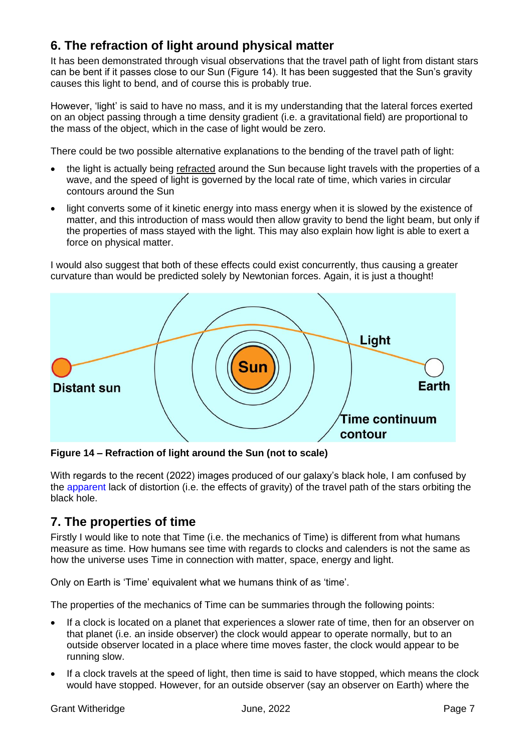# **6. The refraction of light around physical matter**

It has been demonstrated through visual observations that the travel path of light from distant stars can be bent if it passes close to our Sun (Figure 14). It has been suggested that the Sun's gravity causes this light to bend, and of course this is probably true.

However, 'light' is said to have no mass, and it is my understanding that the lateral forces exerted on an object passing through a time density gradient (i.e. a gravitational field) are proportional to the mass of the object, which in the case of light would be zero.

There could be two possible alternative explanations to the bending of the travel path of light:

- the light is actually being refracted around the Sun because light travels with the properties of a wave, and the speed of light is governed by the local rate of time, which varies in circular contours around the Sun
- light converts some of it kinetic energy into mass energy when it is slowed by the existence of matter, and this introduction of mass would then allow gravity to bend the light beam, but only if the properties of mass stayed with the light. This may also explain how light is able to exert a force on physical matter.

I would also suggest that both of these effects could exist concurrently, thus causing a greater curvature than would be predicted solely by Newtonian forces. Again, it is just a thought!



**Figure 14 – Refraction of light around the Sun (not to scale)**

With regards to the recent (2022) images produced of our galaxy's black hole, I am confused by the apparent lack of distortion (i.e. the effects of gravity) of the travel path of the stars orbiting the black hole.

## **7. The properties of time**

Firstly I would like to note that Time (i.e. the mechanics of Time) is different from what humans measure as time. How humans see time with regards to clocks and calenders is not the same as how the universe uses Time in connection with matter, space, energy and light.

Only on Earth is 'Time' equivalent what we humans think of as 'time'.

The properties of the mechanics of Time can be summaries through the following points:

- If a clock is located on a planet that experiences a slower rate of time, then for an observer on that planet (i.e. an inside observer) the clock would appear to operate normally, but to an outside observer located in a place where time moves faster, the clock would appear to be running slow.
- If a clock travels at the speed of light, then time is said to have stopped, which means the clock would have stopped. However, for an outside observer (say an observer on Earth) where the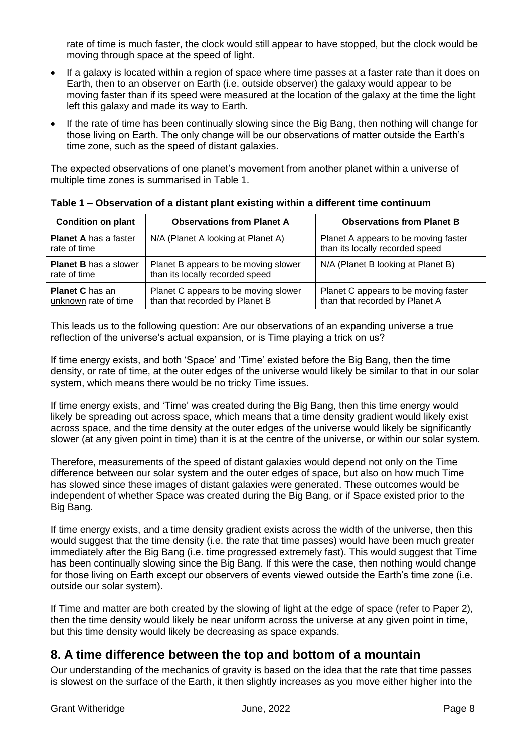rate of time is much faster, the clock would still appear to have stopped, but the clock would be moving through space at the speed of light.

- If a galaxy is located within a region of space where time passes at a faster rate than it does on Earth, then to an observer on Earth (i.e. outside observer) the galaxy would appear to be moving faster than if its speed were measured at the location of the galaxy at the time the light left this galaxy and made its way to Earth.
- If the rate of time has been continually slowing since the Big Bang, then nothing will change for those living on Earth. The only change will be our observations of matter outside the Earth's time zone, such as the speed of distant galaxies.

The expected observations of one planet's movement from another planet within a universe of multiple time zones is summarised in Table 1.

| <b>Condition on plant</b>                      | <b>Observations from Planet A</b>                                       | <b>Observations from Planet B</b>                                       |
|------------------------------------------------|-------------------------------------------------------------------------|-------------------------------------------------------------------------|
| <b>Planet A has a faster</b><br>rate of time   | N/A (Planet A looking at Planet A)                                      | Planet A appears to be moving faster<br>than its locally recorded speed |
| <b>Planet B has a slower</b><br>rate of time   | Planet B appears to be moving slower<br>than its locally recorded speed | N/A (Planet B looking at Planet B)                                      |
| <b>Planet C</b> has an<br>unknown rate of time | Planet C appears to be moving slower<br>than that recorded by Planet B  | Planet C appears to be moving faster<br>than that recorded by Planet A  |

This leads us to the following question: Are our observations of an expanding universe a true reflection of the universe's actual expansion, or is Time playing a trick on us?

If time energy exists, and both 'Space' and 'Time' existed before the Big Bang, then the time density, or rate of time, at the outer edges of the universe would likely be similar to that in our solar system, which means there would be no tricky Time issues.

If time energy exists, and 'Time' was created during the Big Bang, then this time energy would likely be spreading out across space, which means that a time density gradient would likely exist across space, and the time density at the outer edges of the universe would likely be significantly slower (at any given point in time) than it is at the centre of the universe, or within our solar system.

Therefore, measurements of the speed of distant galaxies would depend not only on the Time difference between our solar system and the outer edges of space, but also on how much Time has slowed since these images of distant galaxies were generated. These outcomes would be independent of whether Space was created during the Big Bang, or if Space existed prior to the Big Bang.

If time energy exists, and a time density gradient exists across the width of the universe, then this would suggest that the time density (i.e. the rate that time passes) would have been much greater immediately after the Big Bang (i.e. time progressed extremely fast). This would suggest that Time has been continually slowing since the Big Bang. If this were the case, then nothing would change for those living on Earth except our observers of events viewed outside the Earth's time zone (i.e. outside our solar system).

If Time and matter are both created by the slowing of light at the edge of space (refer to Paper 2), then the time density would likely be near uniform across the universe at any given point in time, but this time density would likely be decreasing as space expands.

## **8. A time difference between the top and bottom of a mountain**

Our understanding of the mechanics of gravity is based on the idea that the rate that time passes is slowest on the surface of the Earth, it then slightly increases as you move either higher into the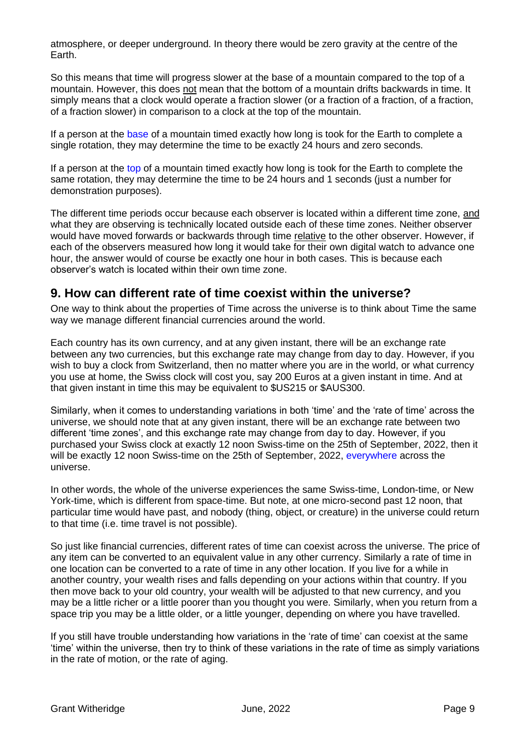atmosphere, or deeper underground. In theory there would be zero gravity at the centre of the Earth.

So this means that time will progress slower at the base of a mountain compared to the top of a mountain. However, this does not mean that the bottom of a mountain drifts backwards in time. It simply means that a clock would operate a fraction slower (or a fraction of a fraction, of a fraction, of a fraction slower) in comparison to a clock at the top of the mountain.

If a person at the base of a mountain timed exactly how long is took for the Earth to complete a single rotation, they may determine the time to be exactly 24 hours and zero seconds.

If a person at the top of a mountain timed exactly how long is took for the Earth to complete the same rotation, they may determine the time to be 24 hours and 1 seconds (just a number for demonstration purposes).

The different time periods occur because each observer is located within a different time zone, and what they are observing is technically located outside each of these time zones. Neither observer would have moved forwards or backwards through time relative to the other observer. However, if each of the observers measured how long it would take for their own digital watch to advance one hour, the answer would of course be exactly one hour in both cases. This is because each observer's watch is located within their own time zone.

## **9. How can different rate of time coexist within the universe?**

One way to think about the properties of Time across the universe is to think about Time the same way we manage different financial currencies around the world.

Each country has its own currency, and at any given instant, there will be an exchange rate between any two currencies, but this exchange rate may change from day to day. However, if you wish to buy a clock from Switzerland, then no matter where you are in the world, or what currency you use at home, the Swiss clock will cost you, say 200 Euros at a given instant in time. And at that given instant in time this may be equivalent to \$US215 or \$AUS300.

Similarly, when it comes to understanding variations in both 'time' and the 'rate of time' across the universe, we should note that at any given instant, there will be an exchange rate between two different 'time zones', and this exchange rate may change from day to day. However, if you purchased your Swiss clock at exactly 12 noon Swiss-time on the 25th of September, 2022, then it will be exactly 12 noon Swiss-time on the 25th of September, 2022, everywhere across the universe.

In other words, the whole of the universe experiences the same Swiss-time, London-time, or New York-time, which is different from space-time. But note, at one micro-second past 12 noon, that particular time would have past, and nobody (thing, object, or creature) in the universe could return to that time (i.e. time travel is not possible).

So just like financial currencies, different rates of time can coexist across the universe. The price of any item can be converted to an equivalent value in any other currency. Similarly a rate of time in one location can be converted to a rate of time in any other location. If you live for a while in another country, your wealth rises and falls depending on your actions within that country. If you then move back to your old country, your wealth will be adjusted to that new currency, and you may be a little richer or a little poorer than you thought you were. Similarly, when you return from a space trip you may be a little older, or a little younger, depending on where you have travelled.

If you still have trouble understanding how variations in the 'rate of time' can coexist at the same 'time' within the universe, then try to think of these variations in the rate of time as simply variations in the rate of motion, or the rate of aging.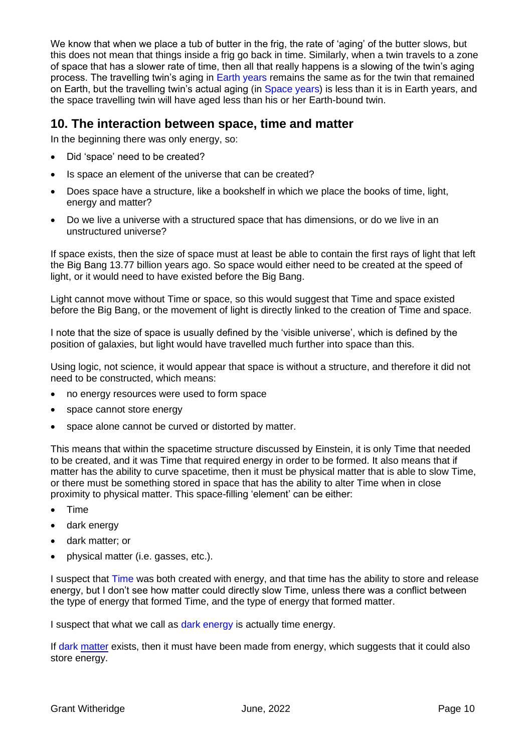We know that when we place a tub of butter in the frig, the rate of 'aging' of the butter slows, but this does not mean that things inside a frig go back in time. Similarly, when a twin travels to a zone of space that has a slower rate of time, then all that really happens is a slowing of the twin's aging process. The travelling twin's aging in Earth years remains the same as for the twin that remained on Earth, but the travelling twin's actual aging (in Space years) is less than it is in Earth years, and the space travelling twin will have aged less than his or her Earth-bound twin.

### **10. The interaction between space, time and matter**

In the beginning there was only energy, so:

- Did 'space' need to be created?
- Is space an element of the universe that can be created?
- Does space have a structure, like a bookshelf in which we place the books of time, light, energy and matter?
- Do we live a universe with a structured space that has dimensions, or do we live in an unstructured universe?

If space exists, then the size of space must at least be able to contain the first rays of light that left the Big Bang 13.77 billion years ago. So space would either need to be created at the speed of light, or it would need to have existed before the Big Bang.

Light cannot move without Time or space, so this would suggest that Time and space existed before the Big Bang, or the movement of light is directly linked to the creation of Time and space.

I note that the size of space is usually defined by the 'visible universe', which is defined by the position of galaxies, but light would have travelled much further into space than this.

Using logic, not science, it would appear that space is without a structure, and therefore it did not need to be constructed, which means:

- no energy resources were used to form space
- space cannot store energy
- space alone cannot be curved or distorted by matter.

This means that within the spacetime structure discussed by Einstein, it is only Time that needed to be created, and it was Time that required energy in order to be formed. It also means that if matter has the ability to curve spacetime, then it must be physical matter that is able to slow Time, or there must be something stored in space that has the ability to alter Time when in close proximity to physical matter. This space-filling 'element' can be either:

- Time
- dark energy
- dark matter; or
- physical matter (i.e. gasses, etc.).

I suspect that Time was both created with energy, and that time has the ability to store and release energy, but I don't see how matter could directly slow Time, unless there was a conflict between the type of energy that formed Time, and the type of energy that formed matter.

I suspect that what we call as dark energy is actually time energy.

If dark matter exists, then it must have been made from energy, which suggests that it could also store energy.